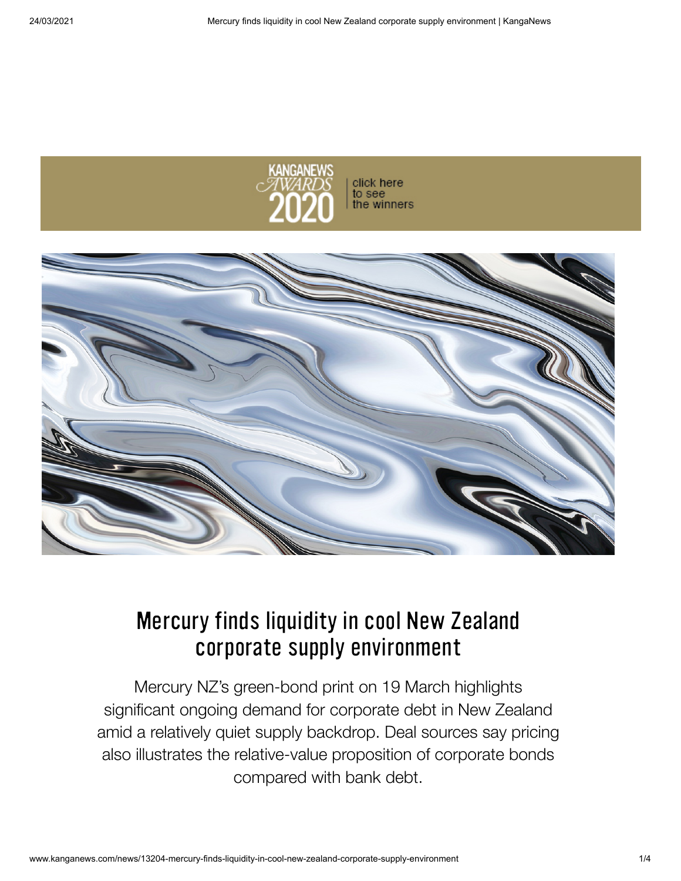

click here to see the winners



# Mercury finds liquidity in cool New Zealand corporate supply environment

Mercury NZ's green-bond print on 19 March highlights significant ongoing demand for corporate debt in New Zealand amid a relatively quiet supply backdrop. Deal sources say pricing also illustrates the relative-value proposition of corporate bonds compared with bank debt.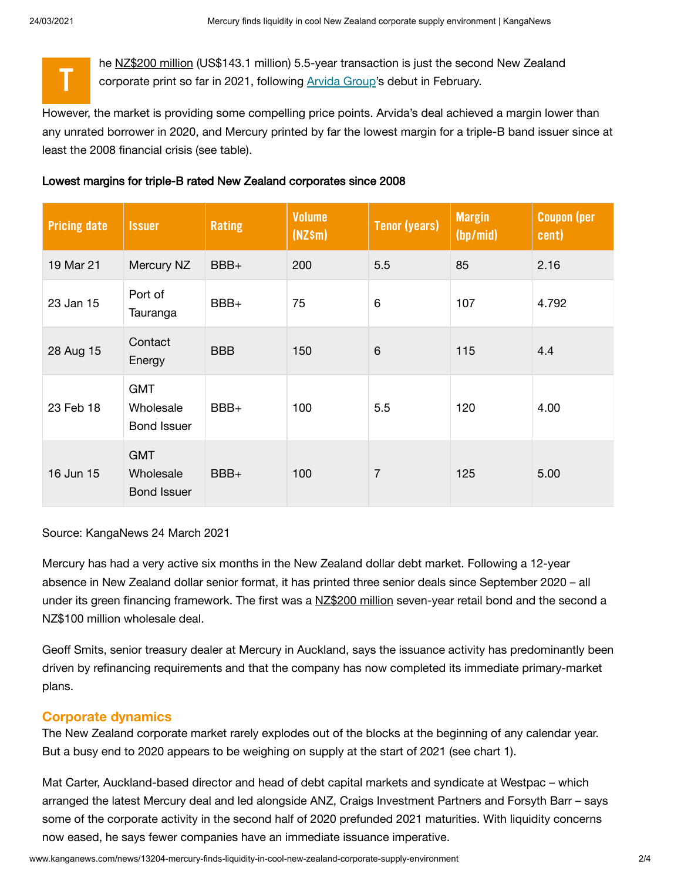T



However, the market is providing some compelling price points. Arvida's deal achieved a margin lower than any unrated borrower in 2020, and Mercury printed by far the lowest margin for a triple-B band issuer since at least the 2008 financial crisis (see table).

### Lowest margins for triple-B rated New Zealand corporates since 2008

| <b>Pricing date</b> | <b>Issuer</b>                                 | <b>Rating</b> | <b>Volume</b><br>$(NZ\$ m $)$ | <b>Tenor (years)</b> | <b>Margin</b><br>(hp/min) | <b>Coupon (per</b><br>cent) |
|---------------------|-----------------------------------------------|---------------|-------------------------------|----------------------|---------------------------|-----------------------------|
| 19 Mar 21           | Mercury NZ                                    | BBB+          | 200                           | 5.5                  | 85                        | 2.16                        |
| 23 Jan 15           | Port of<br>Tauranga                           | BBB+          | 75                            | $6\phantom{1}$       | 107                       | 4.792                       |
| 28 Aug 15           | Contact<br>Energy                             | <b>BBB</b>    | 150                           | $6\phantom{1}$       | 115                       | 4.4                         |
| 23 Feb 18           | <b>GMT</b><br>Wholesale<br><b>Bond Issuer</b> | BBB+          | 100                           | 5.5                  | 120                       | 4.00                        |
| 16 Jun 15           | <b>GMT</b><br>Wholesale<br><b>Bond Issuer</b> | BBB+          | 100                           | 7                    | 125                       | 5.00                        |

Source: KangaNews 24 March 2021

Mercury has had a very active six months in the New Zealand dollar debt market. Following a 12-year absence in New Zealand dollar senior format, it has printed three senior deals since September 2020 – all under its green financing framework. The first was a [NZ\\$200](http://www.kanganews.com/news/12277-wind-carries-mercury-to-debut-green-bond-deal) million seven-year retail bond and the second a NZ\$100 million wholesale deal.

Geoff Smits, senior treasury dealer at Mercury in Auckland, says the issuance activity has predominantly been driven by refinancing requirements and that the company has now completed its immediate primary-market plans.

## **Corporate dynamics**

The New Zealand corporate market rarely explodes out of the blocks at the beginning of any calendar year. But a busy end to 2020 appears to be weighing on supply at the start of 2021 (see chart 1).

Mat Carter, Auckland-based director and head of debt capital markets and syndicate at Westpac – which arranged the latest Mercury deal and led alongside ANZ, Craigs Investment Partners and Forsyth Barr – says some of the corporate activity in the second half of 2020 prefunded 2021 maturities. With liquidity concerns now eased, he says fewer companies have an immediate issuance imperative.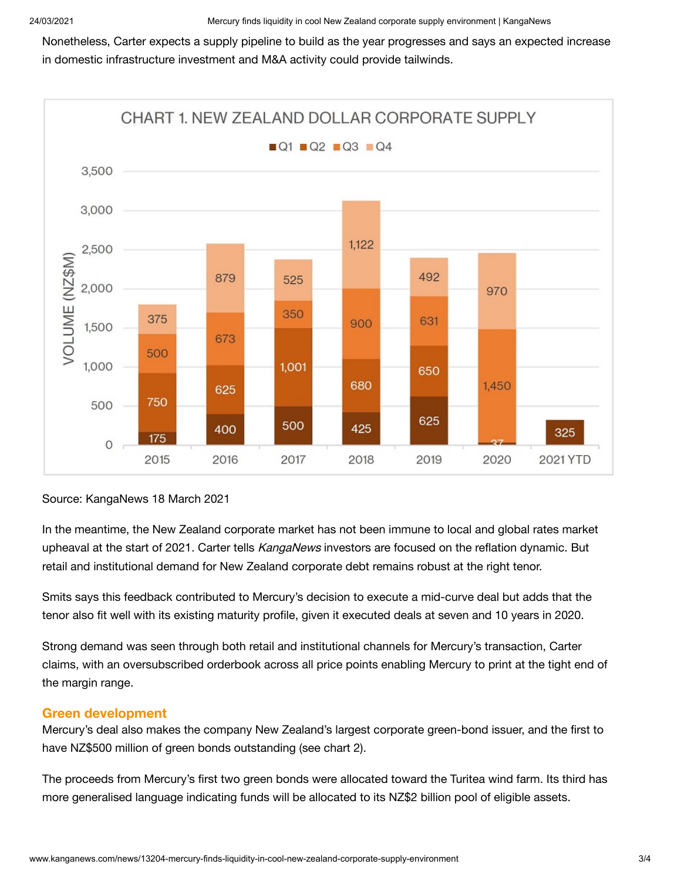Nonetheless, Carter expects a supply pipeline to build as the year progresses and says an expected increase in domestic infrastructure investment and M&A activity could provide tailwinds.



## Source: KangaNews 18 March 2021

In the meantime, the New Zealand corporate market has not been immune to local and global rates market upheaval at the start of 2021. Carter tells *KangaNews* investors are focused on the reflation dynamic. But retail and institutional demand for New Zealand corporate debt remains robust at the right tenor.

Smits says this feedback contributed to Mercury's decision to execute a mid-curve deal but adds that the tenor also fit well with its existing maturity profile, given it executed deals at seven and 10 years in 2020.

Strong demand was seen through both retail and institutional channels for Mercury's transaction, Carter claims, with an oversubscribed orderbook across all price points enabling Mercury to print at the tight end of the margin range.

## **Green development**

Mercury's deal also makes the company New Zealand's largest corporate green-bond issuer, and the first to have NZ\$500 million of green bonds outstanding (see chart 2).

The proceeds from Mercury's first two green bonds were allocated toward the Turitea wind farm. Its third has more generalised language indicating funds will be allocated to its NZ\$2 billion pool of eligible assets.